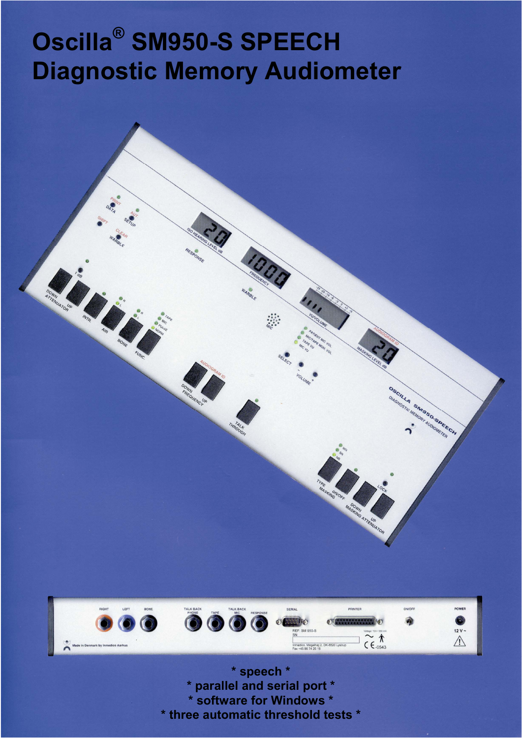# **Oscilla® SM950-S SPEECH Diagnostic Memory Audiometer**





**\* speech \* \* parallel and serial port \* \* software for Windows \* \* three automatic threshold tests \***